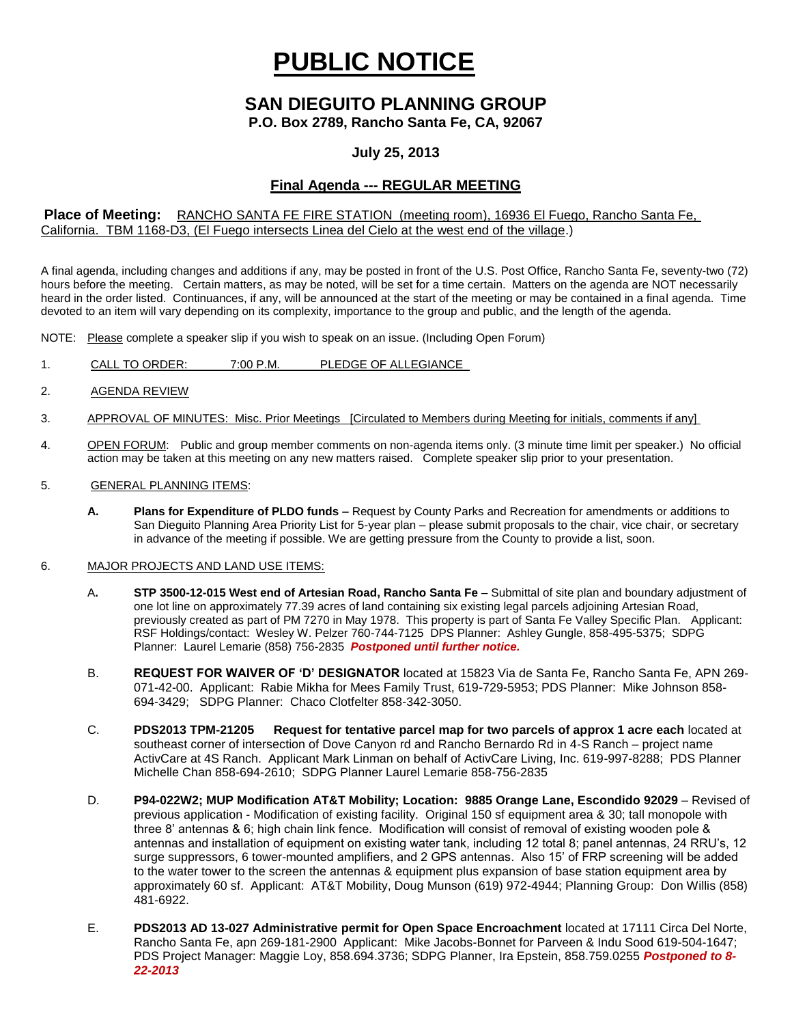# **PUBLIC NOTICE**

# **SAN DIEGUITO PLANNING GROUP**

**P.O. Box 2789, Rancho Santa Fe, CA, 92067**

## **July 25, 2013**

## **Final Agenda --- REGULAR MEETING**

#### **Place of Meeting:** RANCHO SANTA FE FIRE STATION (meeting room), 16936 El Fuego, Rancho Santa Fe, California. TBM 1168-D3, (El Fuego intersects Linea del Cielo at the west end of the village.)

A final agenda, including changes and additions if any, may be posted in front of the U.S. Post Office, Rancho Santa Fe, seventy-two (72) hours before the meeting. Certain matters, as may be noted, will be set for a time certain. Matters on the agenda are NOT necessarily heard in the order listed. Continuances, if any, will be announced at the start of the meeting or may be contained in a final agenda. Time devoted to an item will vary depending on its complexity, importance to the group and public, and the length of the agenda.

NOTE: Please complete a speaker slip if you wish to speak on an issue. (Including Open Forum)

- 1. CALL TO ORDER: 7:00 P.M. PLEDGE OF ALLEGIANCE
- 2. AGENDA REVIEW
- 3. APPROVAL OF MINUTES: Misc. Prior Meetings [Circulated to Members during Meeting for initials, comments if any]
- 4. OPEN FORUM: Public and group member comments on non-agenda items only. (3 minute time limit per speaker.) No official action may be taken at this meeting on any new matters raised. Complete speaker slip prior to your presentation.
- 5. GENERAL PLANNING ITEMS:
	- **A. Plans for Expenditure of PLDO funds –** Request by County Parks and Recreation for amendments or additions to San Dieguito Planning Area Priority List for 5-year plan – please submit proposals to the chair, vice chair, or secretary in advance of the meeting if possible. We are getting pressure from the County to provide a list, soon.

#### 6. MAJOR PROJECTS AND LAND USE ITEMS:

- A**. STP 3500-12-015 West end of Artesian Road, Rancho Santa Fe** Submittal of site plan and boundary adjustment of one lot line on approximately 77.39 acres of land containing six existing legal parcels adjoining Artesian Road, previously created as part of PM 7270 in May 1978. This property is part of Santa Fe Valley Specific Plan.Applicant: RSF Holdings/contact: Wesley W. Pelzer 760-744-7125 DPS Planner: Ashley Gungle, 858-495-5375; SDPG Planner: Laurel Lemarie (858) 756-2835 *Postponed until further notice.*
- B. **REQUEST FOR WAIVER OF 'D' DESIGNATOR** located at 15823 Via de Santa Fe, Rancho Santa Fe, APN 269- 071-42-00. Applicant: Rabie Mikha for Mees Family Trust, 619-729-5953; PDS Planner: Mike Johnson 858- 694-3429; SDPG Planner: Chaco Clotfelter 858-342-3050.
- C. **PDS2013 TPM-21205 Request for tentative parcel map for two parcels of approx 1 acre each** located at southeast corner of intersection of Dove Canyon rd and Rancho Bernardo Rd in 4-S Ranch – project name ActivCare at 4S Ranch. Applicant Mark Linman on behalf of ActivCare Living, Inc. 619-997-8288; PDS Planner Michelle Chan 858-694-2610; SDPG Planner Laurel Lemarie 858-756-2835
- D. **P94-022W2; MUP Modification AT&T Mobility; Location: 9885 Orange Lane, Escondido 92029** Revised of previous application - Modification of existing facility. Original 150 sf equipment area & 30; tall monopole with three 8' antennas & 6; high chain link fence. Modification will consist of removal of existing wooden pole & antennas and installation of equipment on existing water tank, including 12 total 8; panel antennas, 24 RRU's, 12 surge suppressors, 6 tower-mounted amplifiers, and 2 GPS antennas. Also 15' of FRP screening will be added to the water tower to the screen the antennas & equipment plus expansion of base station equipment area by approximately 60 sf. Applicant: AT&T Mobility, Doug Munson (619) 972-4944; Planning Group: Don Willis (858) 481-6922.
- E. **PDS2013 AD 13-027 Administrative permit for Open Space Encroachment** located at 17111 Circa Del Norte, Rancho Santa Fe, apn 269-181-2900 Applicant: Mike Jacobs-Bonnet for Parveen & Indu Sood 619-504-1647; PDS Project Manager: Maggie Loy, 858.694.3736; SDPG Planner, Ira Epstein, 858.759.0255 *Postponed to 8- 22-2013*